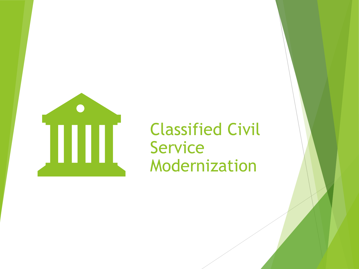

## Classified Civil Service Modernization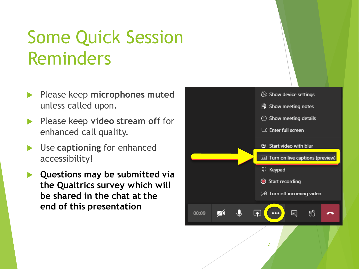# Some Quick Session Reminders

- Please keep **microphones muted** unless called upon.
- **Please keep video stream off** for enhanced call quality.
- **► Use captioning** for enhanced accessibility!
- **Questions may be submitted via the Qualtrics survey which will be shared in the chat at the end of this presentation**

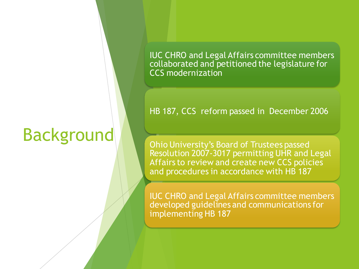# Background

IUC CHRO and Legal Affairs committee members collaborated and petitioned the legislature for CCS modernization

#### HB 187, CCS reform passed in December 2006

Ohio University's Board of Trustees passed Resolution 2007-3017 permitting UHR and Legal Affairs to review and create new CCS policies and procedures in accordance with HB 187

IUC CHRO and Legal Affairs committee members developed guidelines and communications for implementing HB 187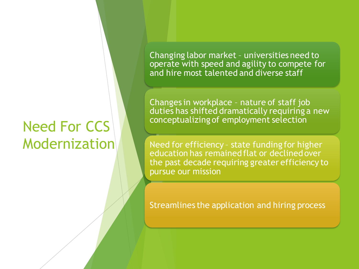## Need For CCS Modernization

Changing labor market – universities need to operate with speed and agility to compete for and hire most talented and diverse staff

Changes in workplace – nature of staff job duties has shifted dramatically requiring a new conceptualizing of employment selection

Need for efficiency – state funding for higher education has remained flat or declined over the past decade requiring greater efficiency to pursue our mission

Streamlines the application and hiring process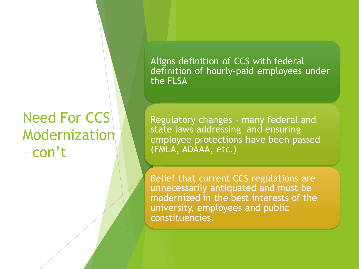## Need For CCS Modernization – con't

Aligns definition of CCS with federal definition of hourly-paid employees under the FLSA

Regulatory changes – many federal and state laws addressing and ensuring employee protections have been passed (FMLA, ADAAA, etc.)

Belief that current CCS regulations are unnecessarily antiquated and must be modernized in the best interests of the university, employees and public constituencies.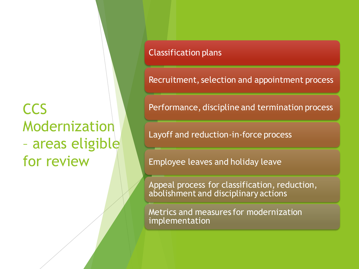## **CCS** Modernization – areas eligible for review

#### Classification plans

Recruitment, selection and appointment process

Performance, discipline and termination process

Layoff and reduction-in-force process

Employee leaves and holiday leave

Appeal process for classification, reduction, abolishment and disciplinary actions

Metrics and measures for modernization implementation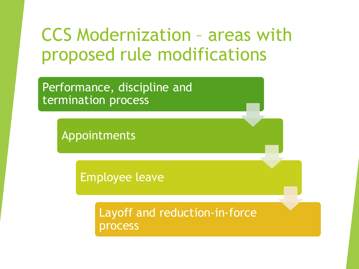# CCS Modernization – areas with proposed rule modifications

Performance, discipline and termination process

Appointments

Employee leave

Layoff and reduction-in-force process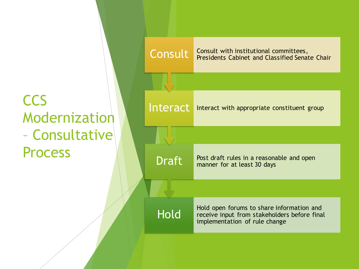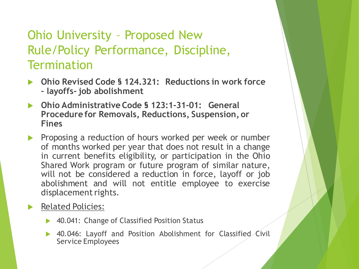### Ohio University – Proposed New Rule/Policy Performance, Discipline, **Termination**

- **Ohio Revised Code § 124.321: Reductions in work force – layoffs- job abolishment**
- **Ohio Administrative Code § 123:1-31-01: General Procedure for Removals, Reductions, Suspension, or Fines**
- **Proposing a reduction of hours worked per week or number** of months worked per year that does not result in a change in current benefits eligibility, or participation in the Ohio Shared Work program or future program of similar nature, will not be considered a reduction in force, layoff or job abolishment and will not entitle employee to exercise displacement rights.

#### Related Policies:

- ▶ 40.041: Change of Classified Position Status
- ▶ 40.046: Layoff and Position Abolishment for Classified Civil Service Employees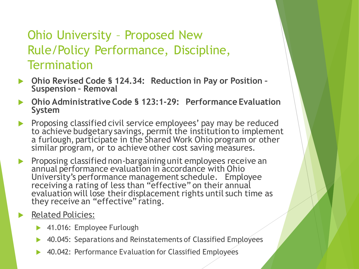### Ohio University – Proposed New Rule/Policy Performance, Discipline, **Termination**

- **Ohio Revised Code § 124.34: Reduction in Pay or Position – Suspension – Removal**
- **Ohio Administrative Code § 123:1-29: Performance Evaluation System**
- Proposing classified civil service employees' pay may be reduced to achieve budgetary savings, permit the institution to implement a furlough, participate in the Shared Work Ohio program or other similar program, or to achieve other cost saving measures.
- **Proposing classified non-bargaining unit employees receive an** annual performance evaluation in accordance with Ohio University's performance management schedule. Employee receiving a rating of less than "effective" on their annual evaluation will lose their displacement rights until such time as they receive an "effective" rating.

#### Related Policies:

- ▶ 41.016: Employee Furlough
- 40.045: Separations and Reinstatements of Classified Employees
- ▶ 40.042: Performance Evaluation for Classified Employees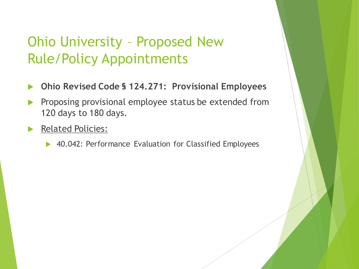### Ohio University – Proposed New Rule/Policy Appointments

- **Ohio Revised Code § 124.271: Provisional Employees**
- Proposing provisional employee status be extended from 120 days to 180 days.
- Related Policies:
	- ▶ 40.042: Performance Evaluation for Classified Employees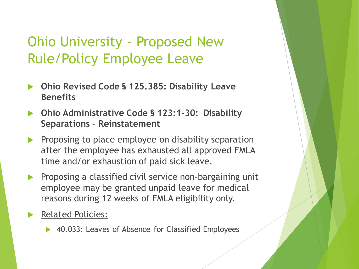### Ohio University – Proposed New Rule/Policy Employee Leave

- **Ohio Revised Code § 125.385: Disability Leave Benefits**
- **Ohio Administrative Code § 123:1-30: Disability Separations – Reinstatement**
- Proposing to place employee on disability separation after the employee has exhausted all approved FMLA time and/or exhaustion of paid sick leave.
- Proposing a classified civil service non-bargaining unit employee may be granted unpaid leave for medical reasons during 12 weeks of FMLA eligibility only.
- Related Policies:
	- ▶ 40.033: Leaves of Absence for Classified Employees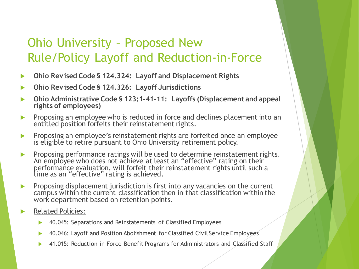### Ohio University – Proposed New Rule/Policy Layoff and Reduction-in-Force

- **Ohio Revised Code § 124.324: Layoff and Displacement Rights**
- **Ohio Revised Code § 124.326: Layoff Jurisdictions**
- **Ohio Administrative Code § 123:1-41-11: Layoffs (Displacement and appeal rights of employees)**
- **Proposing an employee who is reduced in force and declines placement into an** entitled position forfeits their reinstatement rights.
- **Proposing an employee's reinstatement rights are forfeited once an employee** is eligible to retire pursuant to Ohio University retirement policy.
- **Proposing performance ratings will be used to determine reinstatement rights.** An employee who does not achieve at least an "effective" rating on their performance evaluation, will forfeit their reinstatement rights until such a time as an "effective" rating is achieved.
- **Proposing displacement jurisdiction is first into any vacancies on the current** campus within the current classification then in that classification within the work department based on retention points.
- Related Policies:
	- 40.045: Separations and Reinstatements of Classified Employees
	- 40.046: Layoff and Position Abolishment for Classified Civil Service Employees
	- 41.015: Reduction-in-Force Benefit Programs for Administrators and Classified Staff